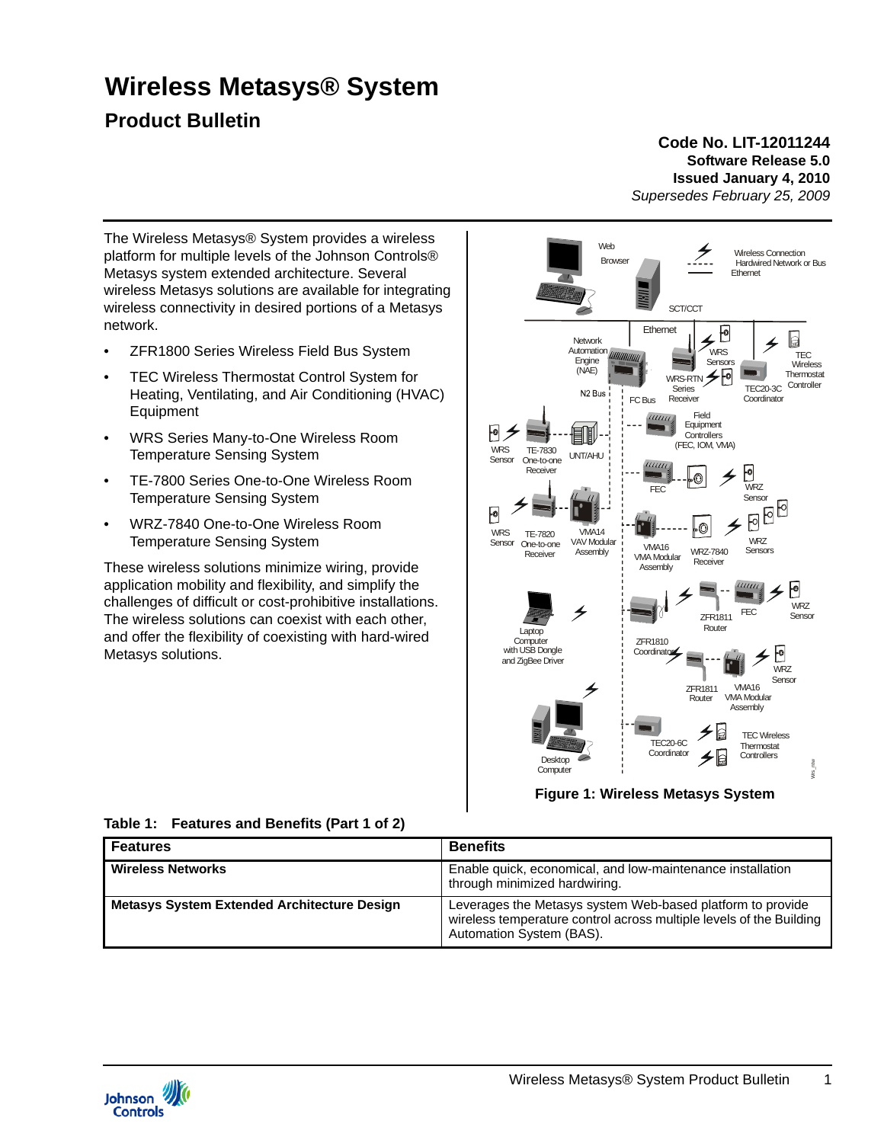# **Wireless Metasys® System**

# **Product Bulletin**

#### **Code No. LIT-12011244 Software Release 5.0 Issued January 4, 2010** *Supersedes February 25, 2009*

The Wireless Metasys® System provides a wireless platform for multiple levels of the Johnson Controls® Metasys system extended architecture. Several wireless Metasys solutions are available for integrating wireless connectivity in desired portions of a Metasys network.

- ZFR1800 Series Wireless Field Bus System
- TEC Wireless Thermostat Control System for Heating, Ventilating, and Air Conditioning (HVAC) **Equipment**
- WRS Series Many-to-One Wireless Room Temperature Sensing System
- TE-7800 Series One-to-One Wireless Room Temperature Sensing System
- WRZ-7840 One-to-One Wireless Room Temperature Sensing System

These wireless solutions minimize wiring, provide application mobility and flexibility, and simplify the challenges of difficult or cost-prohibitive installations. The wireless solutions can coexist with each other, and offer the flexibility of coexisting with hard-wired Metasys solutions.



**Table 1: Features and Benefits (Part 1 of 2)**

| <b>Features</b>                                    | <b>Benefits</b>                                                                                                                                               |
|----------------------------------------------------|---------------------------------------------------------------------------------------------------------------------------------------------------------------|
| <b>Wireless Networks</b>                           | Enable quick, economical, and low-maintenance installation<br>through minimized hardwiring.                                                                   |
| <b>Metasys System Extended Architecture Design</b> | Leverages the Metasys system Web-based platform to provide<br>wireless temperature control across multiple levels of the Building<br>Automation System (BAS). |

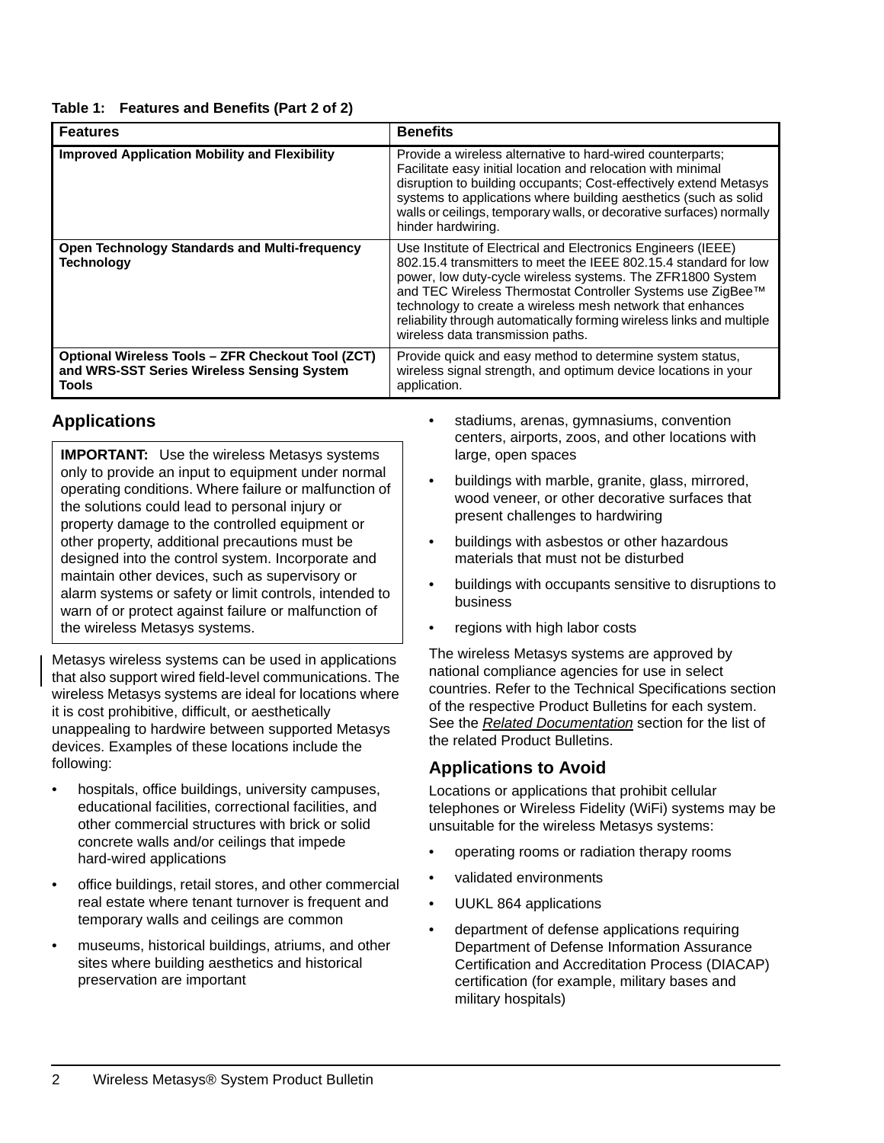#### **Table 1: Features and Benefits (Part 2 of 2)**

| <b>Features</b>                                                                                                        | <b>Benefits</b>                                                                                                                                                                                                                                                                                                                                                                                                                          |
|------------------------------------------------------------------------------------------------------------------------|------------------------------------------------------------------------------------------------------------------------------------------------------------------------------------------------------------------------------------------------------------------------------------------------------------------------------------------------------------------------------------------------------------------------------------------|
| <b>Improved Application Mobility and Flexibility</b>                                                                   | Provide a wireless alternative to hard-wired counterparts;<br>Facilitate easy initial location and relocation with minimal<br>disruption to building occupants; Cost-effectively extend Metasys<br>systems to applications where building aesthetics (such as solid<br>walls or ceilings, temporary walls, or decorative surfaces) normally<br>hinder hardwiring.                                                                        |
| <b>Open Technology Standards and Multi-frequency</b><br><b>Technology</b>                                              | Use Institute of Electrical and Electronics Engineers (IEEE)<br>802.15.4 transmitters to meet the IEEE 802.15.4 standard for low<br>power, low duty-cycle wireless systems. The ZFR1800 System<br>and TEC Wireless Thermostat Controller Systems use ZigBee™<br>technology to create a wireless mesh network that enhances<br>reliability through automatically forming wireless links and multiple<br>wireless data transmission paths. |
| <b>Optional Wireless Tools - ZFR Checkout Tool (ZCT)</b><br>and WRS-SST Series Wireless Sensing System<br><b>Tools</b> | Provide quick and easy method to determine system status,<br>wireless signal strength, and optimum device locations in your<br>application.                                                                                                                                                                                                                                                                                              |

#### **Applications**

**IMPORTANT:** Use the wireless Metasys systems only to provide an input to equipment under normal operating conditions. Where failure or malfunction of the solutions could lead to personal injury or property damage to the controlled equipment or other property, additional precautions must be designed into the control system. Incorporate and maintain other devices, such as supervisory or alarm systems or safety or limit controls, intended to warn of or protect against failure or malfunction of the wireless Metasys systems.

Metasys wireless systems can be used in applications that also support wired field-level communications. The wireless Metasys systems are ideal for locations where it is cost prohibitive, difficult, or aesthetically unappealing to hardwire between supported Metasys devices. Examples of these locations include the following:

- hospitals, office buildings, university campuses, educational facilities, correctional facilities, and other commercial structures with brick or solid concrete walls and/or ceilings that impede hard-wired applications
- office buildings, retail stores, and other commercial real estate where tenant turnover is frequent and temporary walls and ceilings are common
- museums, historical buildings, atriums, and other sites where building aesthetics and historical preservation are important
- stadiums, arenas, gymnasiums, convention centers, airports, zoos, and other locations with large, open spaces
- buildings with marble, granite, glass, mirrored, wood veneer, or other decorative surfaces that present challenges to hardwiring
- buildings with asbestos or other hazardous materials that must not be disturbed
- buildings with occupants sensitive to disruptions to business
- regions with high labor costs

The wireless Metasys systems are approved by national compliance agencies for use in select countries. Refer to the Technical Specifications section of the respective Product Bulletins for each system. See the *[Related Documentation](#page-4-0)* section for the list of the related Product Bulletins.

# **Applications to Avoid**

Locations or applications that prohibit cellular telephones or Wireless Fidelity (WiFi) systems may be unsuitable for the wireless Metasys systems:

- operating rooms or radiation therapy rooms
- validated environments
- UUKL 864 applications
- department of defense applications requiring Department of Defense Information Assurance Certification and Accreditation Process (DIACAP) certification (for example, military bases and military hospitals)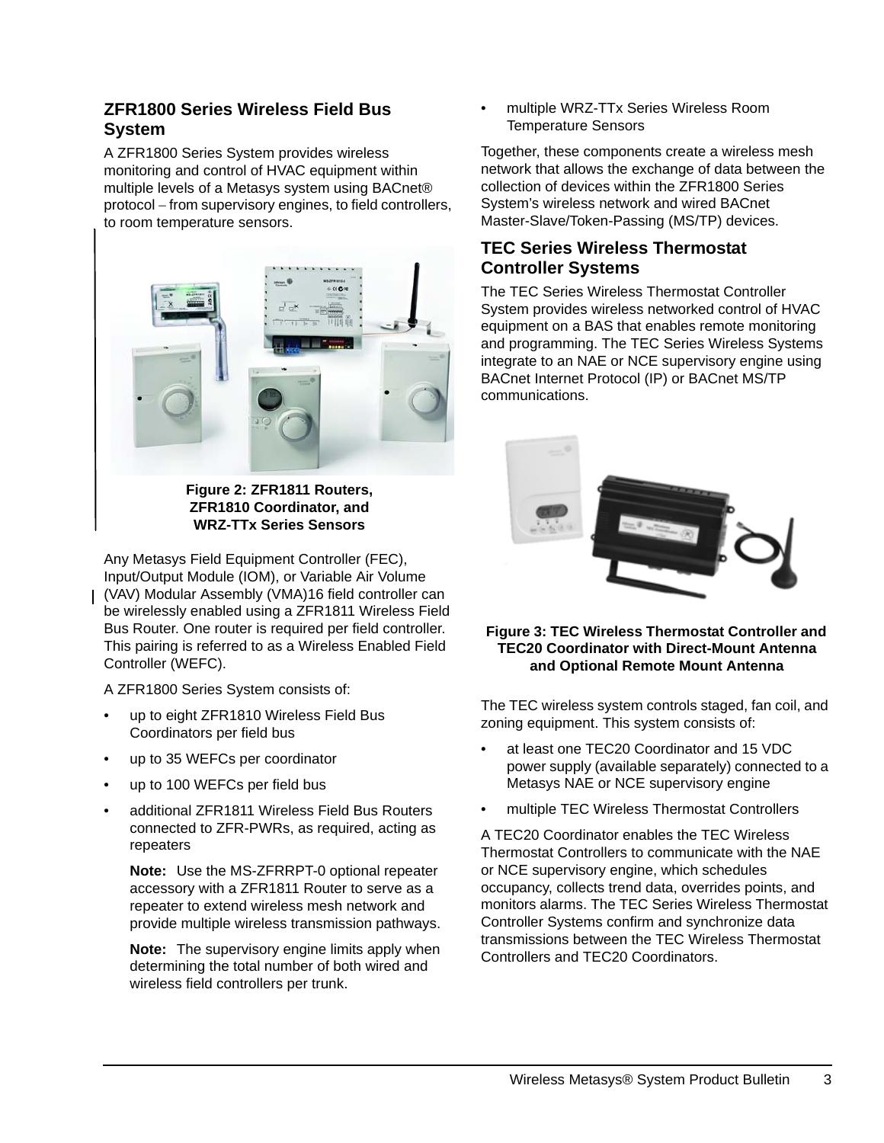# **ZFR1800 Series Wireless Field Bus System**

A ZFR1800 Series System provides wireless monitoring and control of HVAC equipment within multiple levels of a Metasys system using BACnet® protocol − from supervisory engines, to field controllers, to room temperature sensors.



**Figure 2: ZFR1811 Routers, ZFR1810 Coordinator, and WRZ-TTx Series Sensors**

Any Metasys Field Equipment Controller (FEC), Input/Output Module (IOM), or Variable Air Volume (VAV) Modular Assembly (VMA)16 field controller can be wirelessly enabled using a ZFR1811 Wireless Field Bus Router. One router is required per field controller. This pairing is referred to as a Wireless Enabled Field Controller (WEFC).

A ZFR1800 Series System consists of:

- up to eight ZFR1810 Wireless Field Bus Coordinators per field bus
- up to 35 WEFCs per coordinator
- up to 100 WEFCs per field bus
- additional ZFR1811 Wireless Field Bus Routers connected to ZFR-PWRs, as required, acting as repeaters

**Note:** Use the MS-ZFRRPT-0 optional repeater accessory with a ZFR1811 Router to serve as a repeater to extend wireless mesh network and provide multiple wireless transmission pathways.

**Note:** The supervisory engine limits apply when determining the total number of both wired and wireless field controllers per trunk.

• multiple WRZ-TTx Series Wireless Room Temperature Sensors

Together, these components create a wireless mesh network that allows the exchange of data between the collection of devices within the ZFR1800 Series System's wireless network and wired BACnet Master-Slave/Token-Passing (MS/TP) devices.

# **TEC Series Wireless Thermostat Controller Systems**

The TEC Series Wireless Thermostat Controller System provides wireless networked control of HVAC equipment on a BAS that enables remote monitoring and programming. The TEC Series Wireless Systems integrate to an NAE or NCE supervisory engine using BACnet Internet Protocol (IP) or BACnet MS/TP communications.



#### **Figure 3: TEC Wireless Thermostat Controller and TEC20 Coordinator with Direct-Mount Antenna and Optional Remote Mount Antenna**

The TEC wireless system controls staged, fan coil, and zoning equipment. This system consists of:

- at least one TEC20 Coordinator and 15 VDC power supply (available separately) connected to a Metasys NAE or NCE supervisory engine
- multiple TEC Wireless Thermostat Controllers

A TEC20 Coordinator enables the TEC Wireless Thermostat Controllers to communicate with the NAE or NCE supervisory engine, which schedules occupancy, collects trend data, overrides points, and monitors alarms. The TEC Series Wireless Thermostat Controller Systems confirm and synchronize data transmissions between the TEC Wireless Thermostat Controllers and TEC20 Coordinators.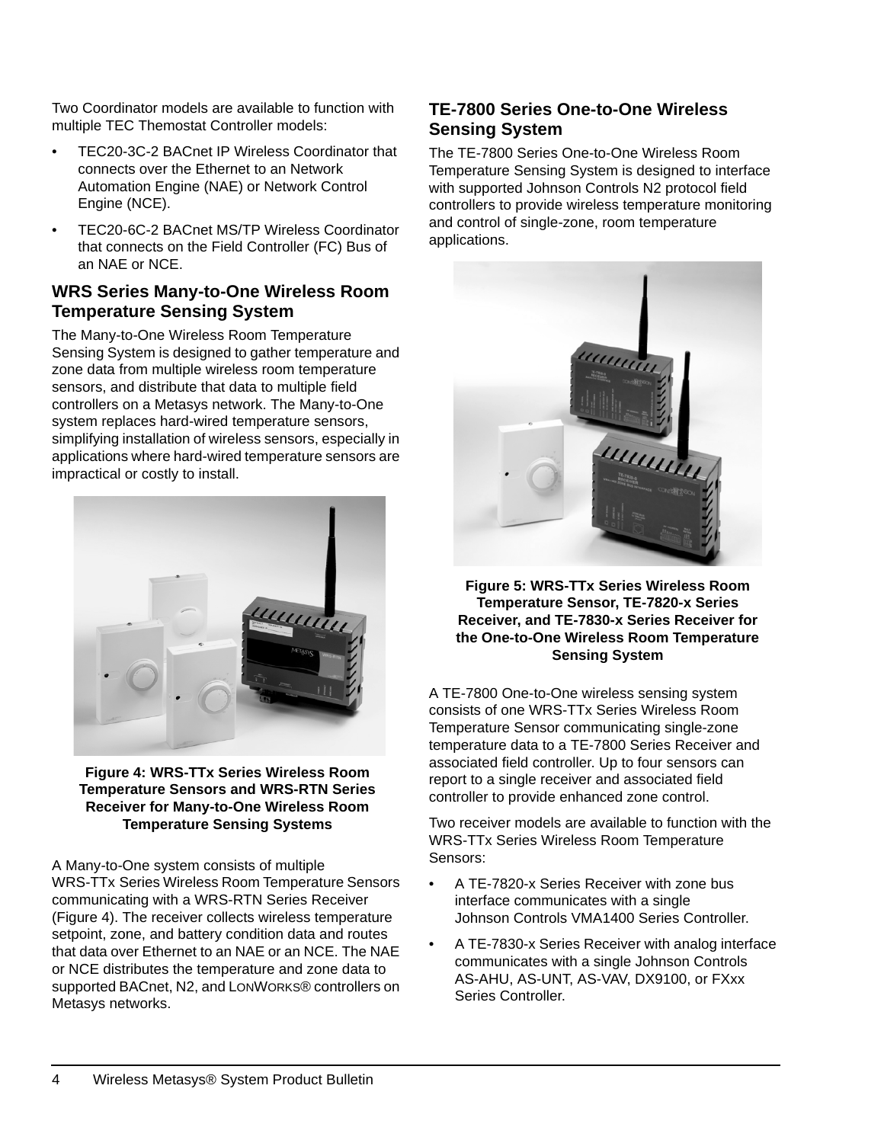Two Coordinator models are available to function with multiple TEC Themostat Controller models:

- TEC20-3C-2 BACnet IP Wireless Coordinator that connects over the Ethernet to an Network Automation Engine (NAE) or Network Control Engine (NCE).
- TEC20-6C-2 BACnet MS/TP Wireless Coordinator that connects on the Field Controller (FC) Bus of an NAE or NCE.

#### **WRS Series Many-to-One Wireless Room Temperature Sensing System**

The Many-to*-*One Wireless Room Temperature Sensing System is designed to gather temperature and zone data from multiple wireless room temperature sensors, and distribute that data to multiple field controllers on a Metasys network. The Many-to-One system replaces hard-wired temperature sensors, simplifying installation of wireless sensors, especially in applications where hard-wired temperature sensors are impractical or costly to install.



**Figure 4: WRS-TTx Series Wireless Room Temperature Sensors and WRS-RTN Series Receiver for Many-to-One Wireless Room Temperature Sensing Systems**

A Many*-*to*-*One system consists of multiple WRS-TTx Series Wireless Room Temperature Sensors communicating with a WRS-RTN Series Receiver (Figure 4). The receiver collects wireless temperature setpoint, zone, and battery condition data and routes that data over Ethernet to an NAE or an NCE. The NAE or NCE distributes the temperature and zone data to supported BACnet, N2, and LONWORKS® controllers on Metasys networks.

### **TE-7800 Series One-to-One Wireless Sensing System**

The TE-7800 Series One-to-One Wireless Room Temperature Sensing System is designed to interface with supported Johnson Controls N2 protocol field controllers to provide wireless temperature monitoring and control of single-zone, room temperature applications.



**Figure 5: WRS-TTx Series Wireless Room Temperature Sensor, TE-7820-x Series Receiver, and TE-7830-x Series Receiver for the One-to-One Wireless Room Temperature Sensing System**

A TE-7800 One-to-One wireless sensing system consists of one WRS-TTx Series Wireless Room Temperature Sensor communicating single-zone temperature data to a TE-7800 Series Receiver and associated field controller. Up to four sensors can report to a single receiver and associated field controller to provide enhanced zone control.

Two receiver models are available to function with the WRS-TTx Series Wireless Room Temperature Sensors:

- A TE-7820-x Series Receiver with zone bus interface communicates with a single Johnson Controls VMA1400 Series Controller.
- A TE-7830-x Series Receiver with analog interface communicates with a single Johnson Controls AS-AHU, AS-UNT, AS-VAV, DX9100, or FXxx Series Controller.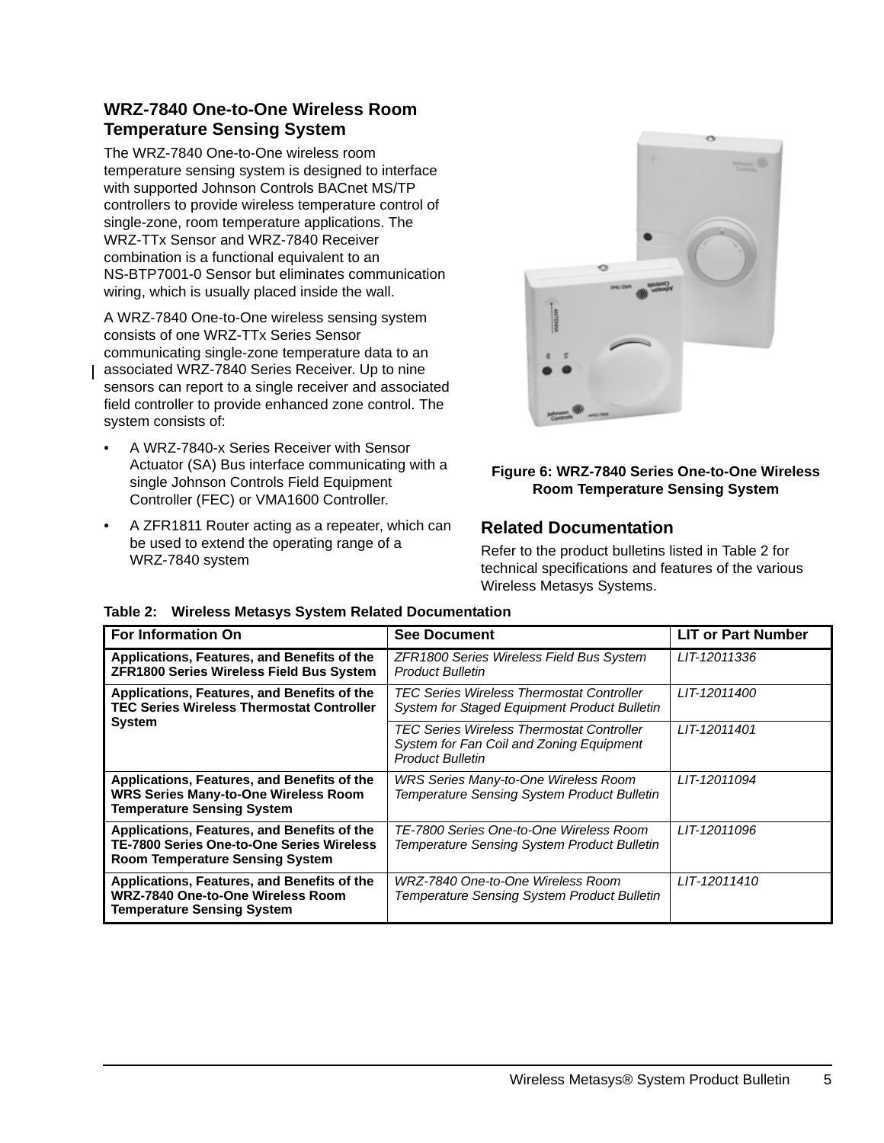# **WRZ-7840 One-to-One Wireless Room Temperature Sensing System**

The WRZ-7840 One-to-One wireless room temperature sensing system is designed to interface with supported Johnson Controls BACnet MS/TP controllers to provide wireless temperature control of single-zone, room temperature applications. The WRZ-TTx Sensor and WRZ-7840 Receiver combination is a functional equivalent to an NS-BTP7001-0 Sensor but eliminates communication wiring, which is usually placed inside the wall.

A WRZ-7840 One-to-One wireless sensing system consists of one WRZ-TTx Series Sensor communicating single-zone temperature data to an associated WRZ-7840 Series Receiver. Up to nine sensors can report to a single receiver and associated field controller to provide enhanced zone control. The system consists of:

- A WRZ-7840-x Series Receiver with Sensor Actuator (SA) Bus interface communicating with a single Johnson Controls Field Equipment Controller (FEC) or VMA1600 Controller.
- A ZFR1811 Router acting as a repeater, which can be used to extend the operating range of a WRZ-7840 system



#### **Figure 6: WRZ-7840 Series One-to-One Wireless Room Temperature Sensing System**

# <span id="page-4-0"></span>**Related Documentation**

Refer to the product bulletins listed in Table 2 for technical specifications and features of the various Wireless Metasys Systems.

| <b>For Information On</b>                                                                                                                 | <b>See Document</b>                                                                                              | <b>LIT or Part Number</b> |
|-------------------------------------------------------------------------------------------------------------------------------------------|------------------------------------------------------------------------------------------------------------------|---------------------------|
| Applications, Features, and Benefits of the<br><b>ZFR1800 Series Wireless Field Bus System</b>                                            | ZFR1800 Series Wireless Field Bus System<br><b>Product Bulletin</b>                                              | LIT-12011336              |
| Applications, Features, and Benefits of the<br><b>TEC Series Wireless Thermostat Controller</b>                                           | TEC Series Wireless Thermostat Controller<br>System for Staged Equipment Product Bulletin                        | LIT-12011400              |
| System                                                                                                                                    | TEC Series Wireless Thermostat Controller<br>System for Fan Coil and Zoning Equipment<br><b>Product Bulletin</b> | LIT-12011401              |
| Applications, Features, and Benefits of the<br><b>WRS Series Many-to-One Wireless Room</b><br><b>Temperature Sensing System</b>           | <b>WRS Series Many-to-One Wireless Room</b><br><b>Temperature Sensing System Product Bulletin</b>                | LIT-12011094              |
| Applications, Features, and Benefits of the<br><b>TE-7800 Series One-to-One Series Wireless</b><br><b>Room Temperature Sensing System</b> | TE-7800 Series One-to-One Wireless Room<br><b>Temperature Sensing System Product Bulletin</b>                    | LIT-12011096              |
| Applications, Features, and Benefits of the<br><b>WRZ-7840 One-to-One Wireless Room</b><br><b>Temperature Sensing System</b>              | WRZ-7840 One-to-One Wireless Room<br><b>Temperature Sensing System Product Bulletin</b>                          | LIT-12011410              |

#### **Table 2: Wireless Metasys System Related Documentation**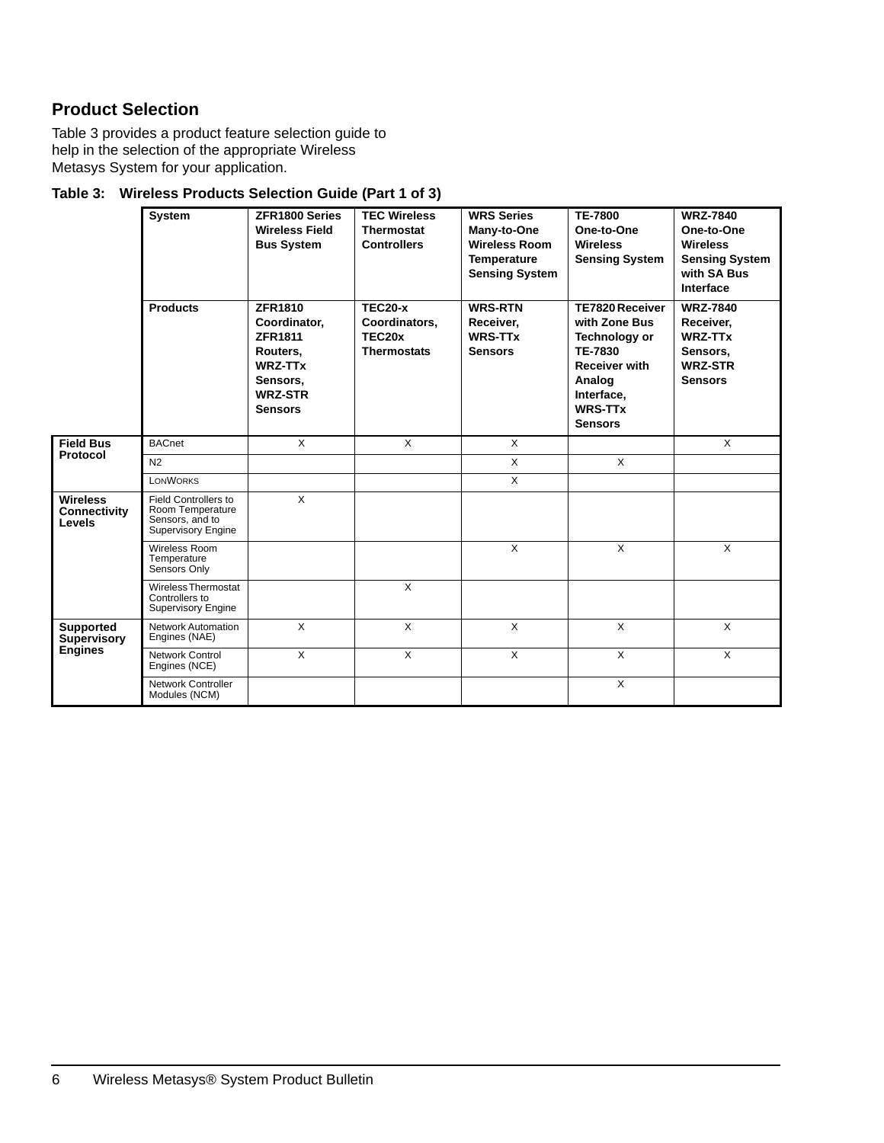# **Product Selection**

Table 3 provides a product feature selection guide to help in the selection of the appropriate Wireless Metasys System for your application.

| Table 3: Wireless Products Selection Guide (Part 1 of 3) |  |  |
|----------------------------------------------------------|--|--|
|                                                          |  |  |

|                                                   | <b>System</b><br><b>Products</b>                                                  | ZFR1800 Series<br><b>Wireless Field</b><br><b>Bus System</b><br><b>ZFR1810</b><br>Coordinator,<br><b>ZFR1811</b><br>Routers.<br><b>WRZ-TTx</b><br>Sensors,<br><b>WRZ-STR</b><br><b>Sensors</b> | <b>TEC Wireless</b><br><b>Thermostat</b><br><b>Controllers</b><br><b>TEC20-x</b><br>Coordinators,<br>TEC <sub>20x</sub><br><b>Thermostats</b> | <b>WRS Series</b><br>Many-to-One<br><b>Wireless Room</b><br><b>Temperature</b><br><b>Sensing System</b><br><b>WRS-RTN</b><br>Receiver,<br><b>WRS-TTx</b><br><b>Sensors</b> | <b>TE-7800</b><br>One-to-One<br><b>Wireless</b><br><b>Sensing System</b><br><b>TE7820 Receiver</b><br>with Zone Bus<br>Technology or<br>TE-7830<br><b>Receiver with</b><br>Analog<br>Interface,<br><b>WRS-TTx</b><br><b>Sensors</b> | <b>WRZ-7840</b><br>One-to-One<br><b>Wireless</b><br><b>Sensing System</b><br>with SA Bus<br>Interface<br><b>WRZ-7840</b><br>Receiver,<br><b>WRZ-TTx</b><br>Sensors,<br><b>WRZ-STR</b><br><b>Sensors</b> |
|---------------------------------------------------|-----------------------------------------------------------------------------------|------------------------------------------------------------------------------------------------------------------------------------------------------------------------------------------------|-----------------------------------------------------------------------------------------------------------------------------------------------|----------------------------------------------------------------------------------------------------------------------------------------------------------------------------|-------------------------------------------------------------------------------------------------------------------------------------------------------------------------------------------------------------------------------------|---------------------------------------------------------------------------------------------------------------------------------------------------------------------------------------------------------|
| <b>Field Bus</b>                                  | <b>BACnet</b>                                                                     | X                                                                                                                                                                                              | $\mathsf{X}$                                                                                                                                  | $\times$                                                                                                                                                                   |                                                                                                                                                                                                                                     | $\mathsf{X}$                                                                                                                                                                                            |
| Protocol                                          | N <sub>2</sub>                                                                    |                                                                                                                                                                                                |                                                                                                                                               | $\times$                                                                                                                                                                   | $\mathsf{x}$                                                                                                                                                                                                                        |                                                                                                                                                                                                         |
|                                                   | <b>LONWORKS</b>                                                                   |                                                                                                                                                                                                |                                                                                                                                               | $\times$                                                                                                                                                                   |                                                                                                                                                                                                                                     |                                                                                                                                                                                                         |
| <b>Wireless</b><br>Connectivity<br>Levels         | Field Controllers to<br>Room Temperature<br>Sensors, and to<br>Supervisory Engine | X                                                                                                                                                                                              |                                                                                                                                               |                                                                                                                                                                            |                                                                                                                                                                                                                                     |                                                                                                                                                                                                         |
|                                                   | Wireless Room<br>Temperature<br>Sensors Only                                      |                                                                                                                                                                                                |                                                                                                                                               | $\times$                                                                                                                                                                   | $\mathsf{X}$                                                                                                                                                                                                                        | $\mathsf{x}$                                                                                                                                                                                            |
|                                                   | <b>Wireless Thermostat</b><br>Controllers to<br><b>Supervisory Engine</b>         |                                                                                                                                                                                                | X                                                                                                                                             |                                                                                                                                                                            |                                                                                                                                                                                                                                     |                                                                                                                                                                                                         |
| <b>Supported</b><br><b>Supervisory</b><br>Engines | <b>Network Automation</b><br>Engines (NAE)                                        | $\mathsf{X}$                                                                                                                                                                                   | $\mathsf{X}$                                                                                                                                  | $\times$                                                                                                                                                                   | $\mathsf{X}$                                                                                                                                                                                                                        | $\mathsf{X}$                                                                                                                                                                                            |
|                                                   | Network Control<br>Engines (NCE)                                                  | $\mathsf{X}$                                                                                                                                                                                   | X                                                                                                                                             | $\mathsf{X}$                                                                                                                                                               | $\mathsf{X}$                                                                                                                                                                                                                        | $\times$                                                                                                                                                                                                |
|                                                   | Network Controller<br>Modules (NCM)                                               |                                                                                                                                                                                                |                                                                                                                                               |                                                                                                                                                                            | X                                                                                                                                                                                                                                   |                                                                                                                                                                                                         |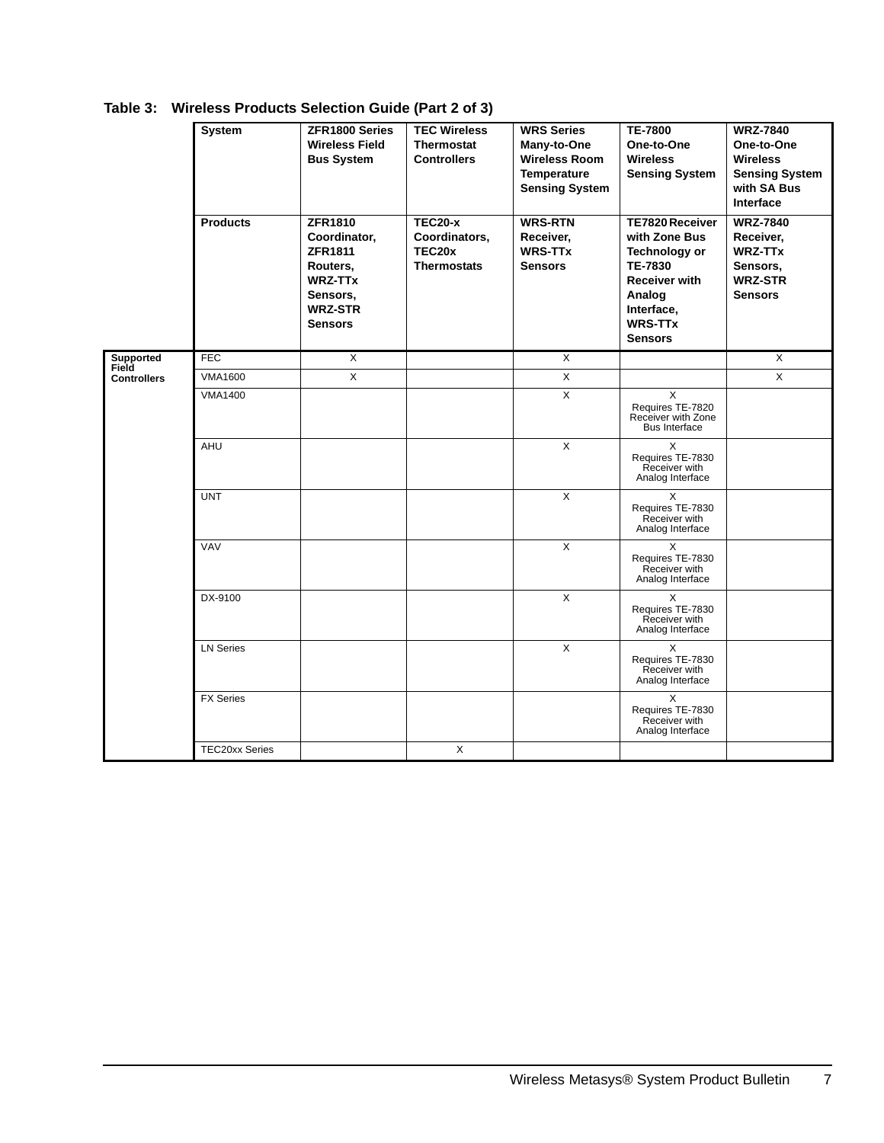|                                    | <b>System</b><br><b>Products</b> | ZFR1800 Series<br><b>Wireless Field</b><br><b>Bus System</b><br><b>ZFR1810</b><br>Coordinator,<br><b>ZFR1811</b><br>Routers,<br><b>WRZ-TTx</b><br>Sensors,<br><b>WRZ-STR</b><br><b>Sensors</b> | <b>TEC Wireless</b><br><b>Thermostat</b><br><b>Controllers</b><br><b>TEC20-x</b><br>Coordinators,<br>TEC20x<br><b>Thermostats</b> | <b>WRS Series</b><br>Many-to-One<br><b>Wireless Room</b><br><b>Temperature</b><br><b>Sensing System</b><br><b>WRS-RTN</b><br>Receiver,<br><b>WRS-TTx</b><br><b>Sensors</b> | <b>TE-7800</b><br>One-to-One<br><b>Wireless</b><br><b>Sensing System</b><br><b>TE7820 Receiver</b><br>with Zone Bus<br><b>Technology or</b><br><b>TE-7830</b><br><b>Receiver with</b><br>Analog<br>Interface,<br><b>WRS-TTx</b><br><b>Sensors</b> | <b>WRZ-7840</b><br>One-to-One<br><b>Wireless</b><br><b>Sensing System</b><br>with SA Bus<br>Interface<br><b>WRZ-7840</b><br>Receiver,<br><b>WRZ-TTx</b><br>Sensors,<br><b>WRZ-STR</b><br><b>Sensors</b> |
|------------------------------------|----------------------------------|------------------------------------------------------------------------------------------------------------------------------------------------------------------------------------------------|-----------------------------------------------------------------------------------------------------------------------------------|----------------------------------------------------------------------------------------------------------------------------------------------------------------------------|---------------------------------------------------------------------------------------------------------------------------------------------------------------------------------------------------------------------------------------------------|---------------------------------------------------------------------------------------------------------------------------------------------------------------------------------------------------------|
| Supported                          | FEC                              | $\overline{\mathsf{x}}$                                                                                                                                                                        |                                                                                                                                   | $\overline{\mathsf{x}}$                                                                                                                                                    |                                                                                                                                                                                                                                                   | $\overline{X}$                                                                                                                                                                                          |
| <b>Field</b><br><b>Controllers</b> | <b>VMA1600</b>                   | $\pmb{\times}$                                                                                                                                                                                 |                                                                                                                                   | $\mathsf X$                                                                                                                                                                |                                                                                                                                                                                                                                                   | X                                                                                                                                                                                                       |
|                                    | <b>VMA1400</b>                   |                                                                                                                                                                                                |                                                                                                                                   | X                                                                                                                                                                          | X<br>Requires TE-7820<br>Receiver with Zone<br><b>Bus Interface</b>                                                                                                                                                                               |                                                                                                                                                                                                         |
|                                    | AHU                              |                                                                                                                                                                                                |                                                                                                                                   | X                                                                                                                                                                          | X<br>Requires TE-7830<br>Receiver with<br>Analog Interface                                                                                                                                                                                        |                                                                                                                                                                                                         |
|                                    | <b>UNT</b>                       |                                                                                                                                                                                                |                                                                                                                                   | X                                                                                                                                                                          | X<br>Requires TE-7830<br>Receiver with<br>Analog Interface                                                                                                                                                                                        |                                                                                                                                                                                                         |
|                                    | <b>VAV</b>                       |                                                                                                                                                                                                |                                                                                                                                   | X                                                                                                                                                                          | X<br>Requires TE-7830<br>Receiver with<br>Analog Interface                                                                                                                                                                                        |                                                                                                                                                                                                         |
|                                    | DX-9100                          |                                                                                                                                                                                                |                                                                                                                                   | $\times$                                                                                                                                                                   | X<br>Requires TE-7830<br>Receiver with<br>Analog Interface                                                                                                                                                                                        |                                                                                                                                                                                                         |
|                                    | <b>LN Series</b>                 |                                                                                                                                                                                                |                                                                                                                                   | X                                                                                                                                                                          | X<br>Requires TE-7830<br>Receiver with<br>Analog Interface                                                                                                                                                                                        |                                                                                                                                                                                                         |
|                                    | <b>FX Series</b>                 |                                                                                                                                                                                                |                                                                                                                                   |                                                                                                                                                                            | X<br>Requires TE-7830<br>Receiver with<br>Analog Interface                                                                                                                                                                                        |                                                                                                                                                                                                         |
|                                    | <b>TEC20xx Series</b>            |                                                                                                                                                                                                | X                                                                                                                                 |                                                                                                                                                                            |                                                                                                                                                                                                                                                   |                                                                                                                                                                                                         |

**Table 3: Wireless Products Selection Guide (Part 2 of 3)**